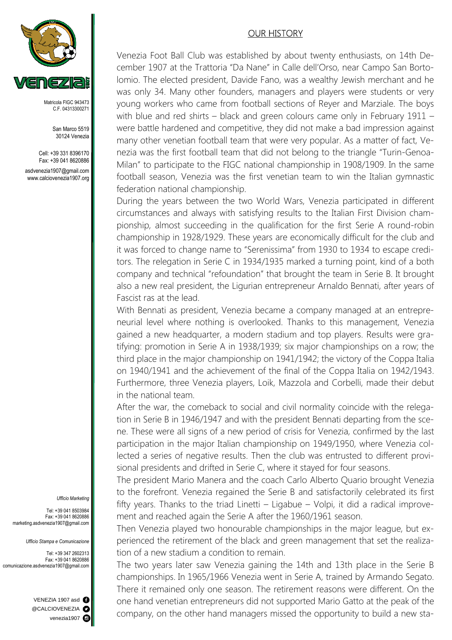

Matricola FIGC 943473 C.F. 04313300271

San Marco 5519 30124 Venezia

Cell: +39 331 8396170 Fax: +39 041 8620886 asdvenezia1907@gmail.com www.calciovenezia1907.org

## OUR HISTORY

Venezia Foot Ball Club was established by about twenty enthusiasts, on 14th December 1907 at the Trattoria "Da Nane" in Calle dell'Orso, near Campo San Bortolomio. The elected president, Davide Fano, was a wealthy Jewish merchant and he was only 34. Many other founders, managers and players were students or very young workers who came from football sections of Reyer and Marziale. The boys with blue and red shirts – black and green colours came only in February 1911 – were battle hardened and competitive, they did not make a bad impression against many other venetian football team that were very popular. As a matter of fact, Venezia was the first football team that did not belong to the triangle "Turin-Genoa-Milan" to participate to the FIGC national championship in 1908/1909. In the same football season, Venezia was the first venetian team to win the Italian gymnastic federation national championship.

During the years between the two World Wars, Venezia participated in different circumstances and always with satisfying results to the Italian First Division championship, almost succeeding in the qualification for the first Serie A round-robin championship in 1928/1929. These years are economically difficult for the club and it was forced to change name to "Serenissima" from 1930 to 1934 to escape creditors. The relegation in Serie C in 1934/1935 marked a turning point, kind of a both company and technical "refoundation" that brought the team in Serie B. It brought also a new real president, the Ligurian entrepreneur Arnaldo Bennati, after years of Fascist ras at the lead.

With Bennati as president, Venezia became a company managed at an entrepreneurial level where nothing is overlooked. Thanks to this management, Venezia gained a new headquarter, a modern stadium and top players. Results were gratifying: promotion in Serie A in 1938/1939; six major championships on a row; the third place in the major championship on 1941/1942; the victory of the Coppa Italia on 1940/1941 and the achievement of the final of the Coppa Italia on 1942/1943. Furthermore, three Venezia players, Loik, Mazzola and Corbelli, made their debut in the national team.

After the war, the comeback to social and civil normality coincide with the relegation in Serie B in 1946/1947 and with the president Bennati departing from the scene. These were all signs of a new period of crisis for Venezia, confirmed by the last participation in the major Italian championship on 1949/1950, where Venezia collected a series of negative results. Then the club was entrusted to different provisional presidents and drifted in Serie C, where it stayed for four seasons.

The president Mario Manera and the coach Carlo Alberto Quario brought Venezia to the forefront. Venezia regained the Serie B and satisfactorily celebrated its first fifty years. Thanks to the triad Linetti – Ligabue – Volpi, it did a radical improvement and reached again the Serie A after the 1960/1961 season.

Then Venezia played two honourable championships in the major league, but experienced the retirement of the black and green management that set the realization of a new stadium a condition to remain.

The two years later saw Venezia gaining the 14th and 13th place in the Serie B championships. In 1965/1966 Venezia went in Serie A, trained by Armando Segato. There it remained only one season. The retirement reasons were different. On the one hand venetian entrepreneurs did not supported Mario Gatto at the peak of the company, on the other hand managers missed the opportunity to build a new sta-

## *Ufficio Marketing*

Tel: +39 041 8503984 Fax: +39 041 8620886 marketing.asdvenezia1907@gmail.com

*Ufficio Stampa e Comunicazione* 

Tel: +39 347 2602313 Fax: +39 041 8620886 comunicazione.asdvenezia1907@gmail.com

> VENEZIA 1907 asd @CALCIOVENEZIA<sup>O</sup> venezia1907<sup>6</sup>